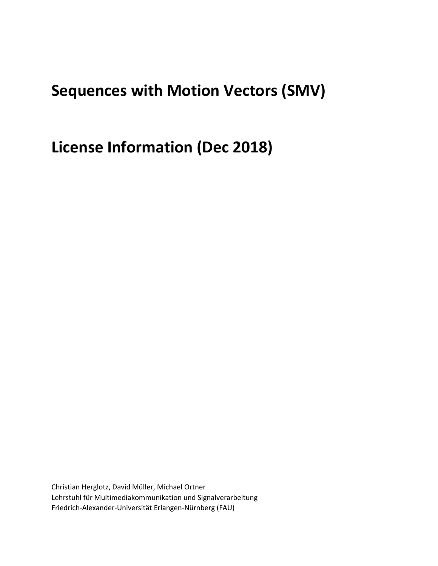## **Sequences with Motion Vectors (SMV)**

**License Information (Dec 2018)**

Christian Herglotz, David Müller, Michael Ortner Lehrstuhl für Multimediakommunikation und Signalverarbeitung Friedrich-Alexander-Universität Erlangen-Nürnberg (FAU)